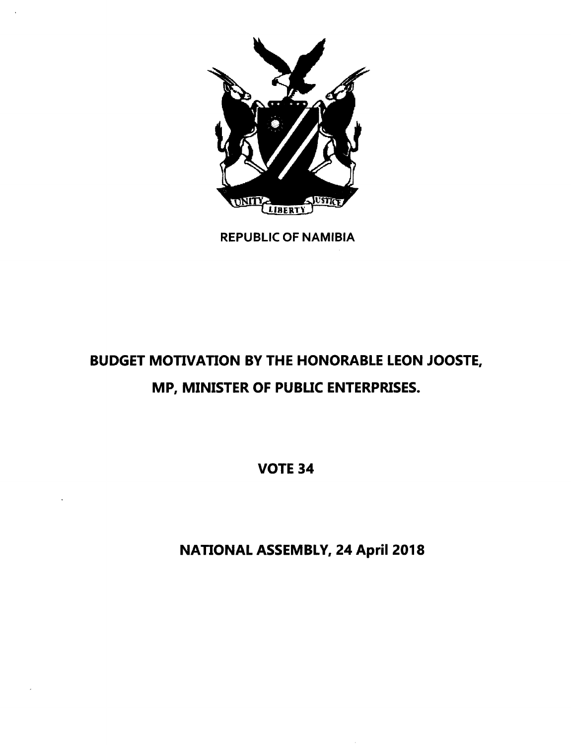

REPUBLIC OF NAMIBIA

# BUDGET MOTIVATION BY THE HONORABLE LEON JOOSTE, MP, MINISTER OF PUBLIC ENTERPRISES.

VOTE 34

NATIONAL ASSEMBLY, 24 April 2018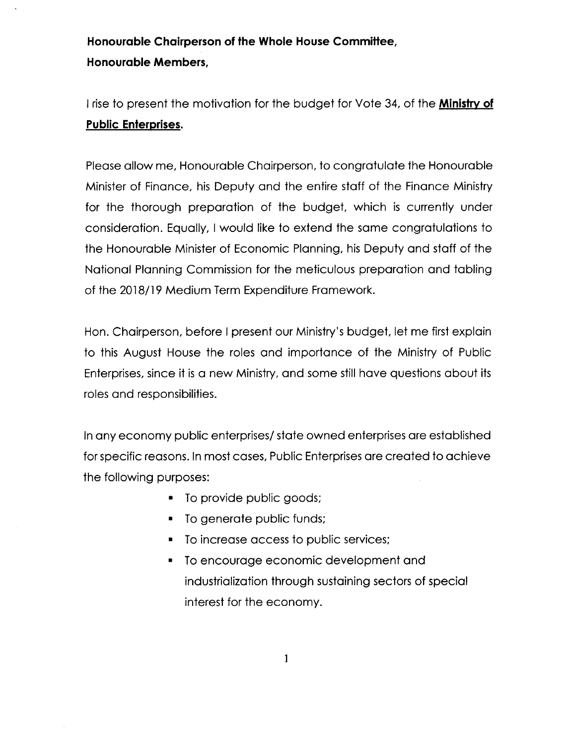# **Honourable Chairperson of the Whole House CommiHee, Honourable Members,**

I rise to present the motivation for the budget for Vote 34, of the **Ministry of Public Enterprises.**

Please allow me, Honourable Chairperson, to congratulate the Honourable Minister of Finance, his Deputy and the entire staff of the Finance Ministry for the thorough preparation of the budget, which is currently under consideration. Equally, I would like to extend the same congratulations to the Honourable Minister of Economic Planning, his Deputy and staff of the National Planning Commission for the meticulous preparation and tabling of the 2018/19 Medium Term Expenditure Framework.

Hon. Chairperson, before I present our Ministry's budget, let me first explain to this August House the roles and importance of the Ministry of Public Enterprises, since it is a new Ministry, and some still have questions about its roles and responsibilities.

In any economy public enterprises/ state owned enterprises are established for specific reasons. In most cases, Public Enterprises are created to achieve the following purposes:

- To provide public goods;
- To generate public funds;
- To increase access to public services;
- To encourage economic development and industrialization through sustaining sectors of special interest for the economy.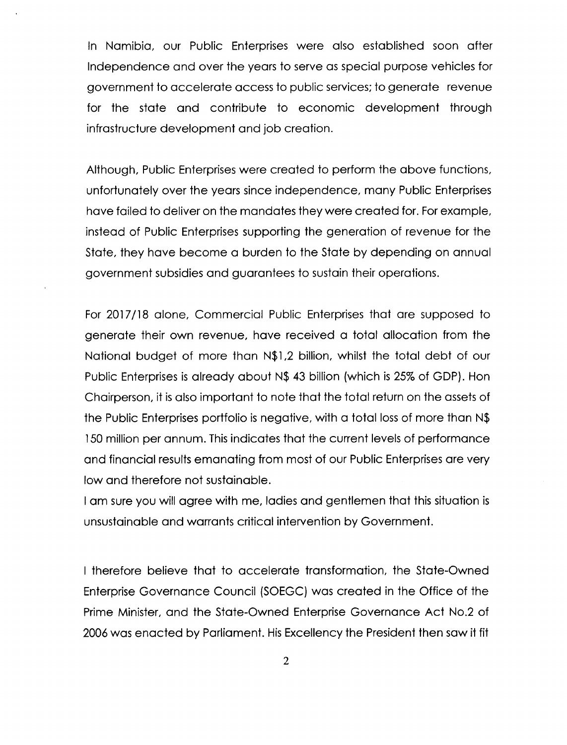In Namibia, our Public Enterprises were also established soon after Independence and over the years to serve as special purpose vehicles for government to accelerate access to public services; to generate revenue for the state and contribute to economic development through infrastructure development and job creation.

Although, Public Enterprises were created to perform the above functions, unfortunately over the years since independence, many Public Enterprises have failed to deliver on the mandates they were created for. For example, instead of Public Enterprises supporting the generation of revenue for the State, they have become a burden to the State by depending on annual government subsidies and guarantees to sustain their operations.

For 2017/18 alone, Commercial Public Enterprises that are supposed to generate their own revenue, have received a total allocation from the National budget of more than N\$l,2 billion, whilst the total debt of our Public Enterprises is already about N\$ 43 billion (which is 25% of GDP). Hon Chairperson, it is also important to note that the total return on the assets of the Public Enterprises portfolio is negative, with a total lossof more than N\$ 150 million per annum. This indicates that the current levels of performance and financial results emanating from most of our Public Enterprises are very low and therefore not sustainable.

I am sure you will agree with me, ladies and gentlemen that this situation is unsustainable and warrants critical intervention by Government.

I therefore believe that to accelerate transformation, the State-Owned Enterprise Governance Council (SOEGC) was created in the Office of the Prime Minister, and the State-Owned Enterprise Governance Act No.2 of 2006 was enacted by Parliament. His Excellency the President then saw it fit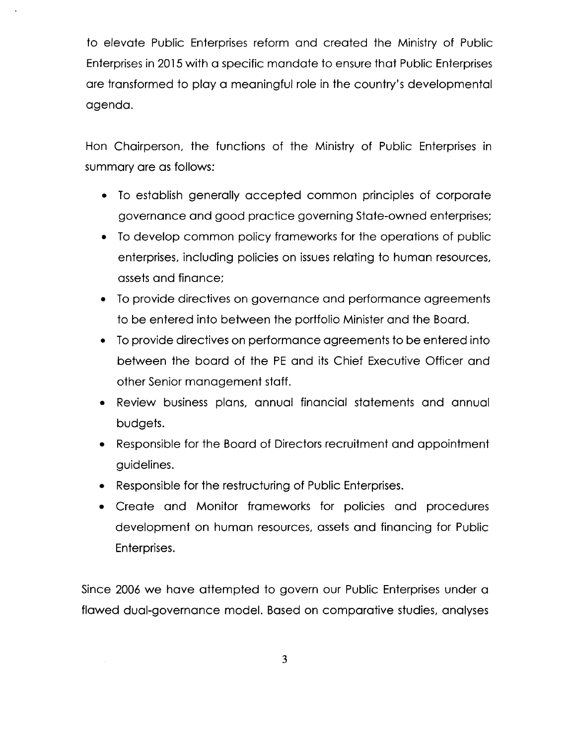to elevate Public Enterprises reform and created the Ministry of Public Enterprisesin 2015with a specific mandate to ensure that Public Enterprises are transformed to play a meaningful role in the country's developmental agenda.

Hon Chairperson, the functions of the Ministry of Public Enterprises in summary are as follows:

- To establish generally accepted common principles of corporate governance and good practice governing State-owned enterprises;
- To develop common policy frameworks for the operations of public enterprises, including policies on issues relating to human resources, assets and finance:
- To provide directives on governance and performance agreements to be entered into between the portfolio Minister and the Board.
- Ioprovide directives on performance agreements to be entered into between the board of the **PE** and its Chief Executive Officer and other Senior management staff.
- Review business plans, annual financial statements and annual budgets.
- Responsible for the Board of Directors recruitment and appointment guidelines.
- Responsible for the restructuring of Public Enterprises.
- Create and Monitor frameworks for policies and procedures development on human resources, assets and financing for Public Enterprises.

Since 2006 we have attempted to govern our Public Enterprises under a flawed dual-governance model. Based on comparative studies, analyses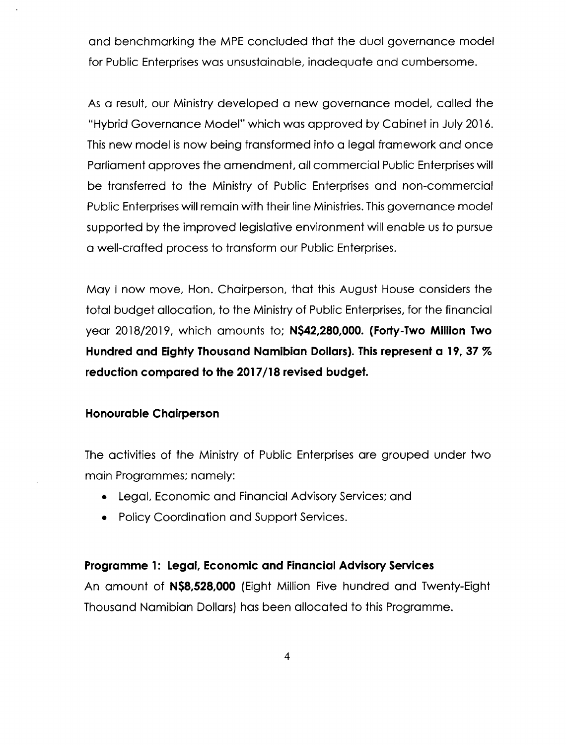and benchmarking the MPE concluded that the dual governance model for Public Enterprises was unsustainable, inadequate and cumbersome.

As a result, our Ministry developed a new governance model, called the "Hybrid Governance Model" which was approved by Cabinet in July 2016. This new model is now being transformed into a legal framework and once Parliament approves the amendment, all commercial Public Enterprises will be transferred to the Ministry of Public Enterprises and non-commercial Public Enterprises will remain with their line Ministries. This governance model supported by the improved legislative environment will enable us to pursue a well-crafted process to transform our Public Enterprises.

May I now move, Hon. Chairperson, that this August House considers the total budget allocation, to the Ministry of Public Enterprises, for the financial year 2018/2019, which amounts to; **N\$42,280,000. (Forty-Two Million Two Hundred and Eighty Thousand Namibian Dollars). This represent a 19, 37** % **reduction compared to the 2017/18 revised budget.**

### **Honourable Chairperson**

The activities of the Ministry of Public Enterprises are grouped under two main Programmes; namely:

- Legal, Economic and Financial Advisory Services; and
- Policy Coordination and Support Services.

#### **Programme 1: Legal, Economic and Financial Advisory Services**

An amount of **N\$8,528,000** (Eight Million Five hundred and Twenty-Eight Thousand Namibian Dollars) has been allocated to this Programme.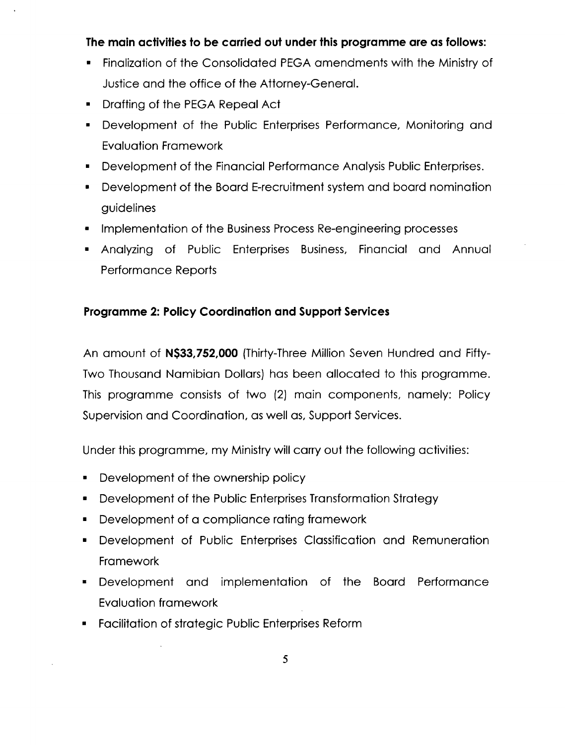## **The main activities to be carried out under this programme are as follows:**

- Finalization of the Consolidated PEGA amendments with the Ministry of Justice and the office of the Attorney-General.
- Drafting of the PEGA Repeal Act
- Development of the Public Enterprises Performance, Monitoring and Evaluation Framework
- Development of the Financial Performance Analysis Public Enterprises.
- Development of the Board E-recruitment system and board nomination guidelines
- Implementation of the Business Process Re-engineering processes
- Analyzing of Public Enterprises Business, Financial and Annual Performance Reports

## **Programme 2: Policy Coordination and Support Services**

An amount of **N\$33,752,000** (Thirty-Three Million Seven Hundred and Fifty-Two Thousand Namibian Dollars) has been allocated to this programme. This programme consists of two (2) main components, namely: Policy Supervision and Coordination, as well as, Support Services.

Under this programme, my Ministrywill carry out the following activities:

- Development of the ownership policy
- Development of the Public Enterprises Transformation Strategy
- Development of a compliance rating framework
- Development of Public Enterprises Classification and Remuneration **Framework**
- Development and implementation of the Board Performance Evaluation framework
- Facilitation of strategic Public Enterprises Reform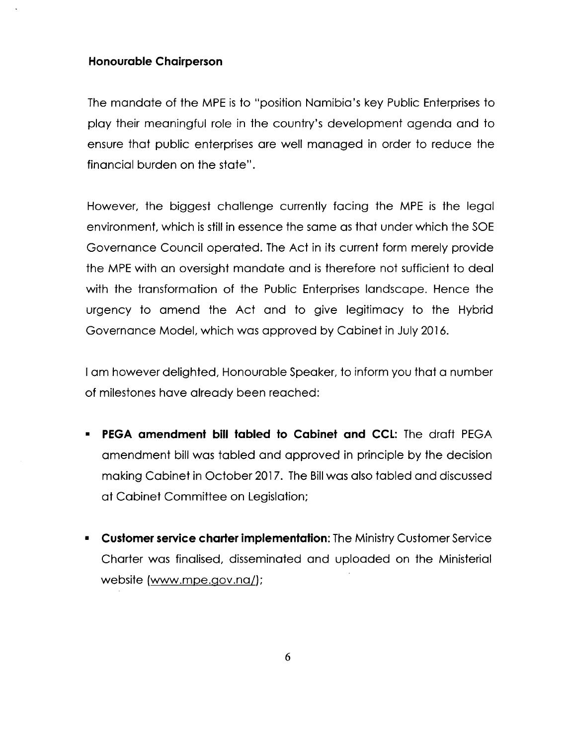#### **Honourable Chairperson**

The mandate of the MPE is to "position Namibia's key Public Enterprises to play their meaningful role in the country's development agenda and to ensure that public enterprises are well managed in order to reduce the financial burden on the state".

However, the biggest challenge currently facing the MPE is the legal environment, which is still in essence the same as that under which the SOE Governance Council operated. The Act in its current form merely provide the MPEwith an oversight mandate and is therefore not sufficient to deal with the transformation of the Public Enterprises landscape. Hence the urgency to amend the Act and to give legitimacy to the Hybrid Governance Model, which was approved by Cabinet in July 2016.

I am however delighted, Honourable Speaker, to inform you that a number of milestones have already been reached:

- **• PEGA amendment bill tabled to Cabinet and CCl:** The draft PEGA amendment bill was tabled and approved in principle by the decision making Cabinet in October 2017. The Bill was also tabled and discussed at Cabinet Committee on Legislation;
- **• Customer service charter implementation:** The MinistryCustomer Service Charter was finalised, disseminated and uploaded on the Ministerial website (www.mpe.gov.na/);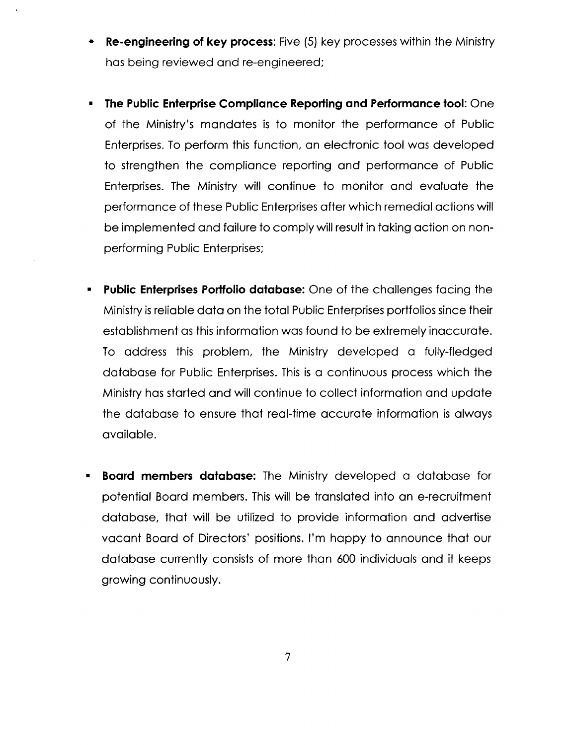- **• Re-engineering of key process:** Five (5) key processeswithin the Ministry has being reviewed and re-engineered;
- **• The Public Enterprise Compliance Reporting and Performance tool:** One of the Ministry's mandates is to monitor the performance of Public Enterprises.To perform this function, an electronic tool was developed to strengthen the compliance reporting and performance of Public Enterprises. The Ministry will continue to monitor and evaluate the performance of these Public Enterprises after which remedial actions will be implemented and failure to comply will result in taking action on nonperforming Public Enterprises;
- **• Public Enterprises Portfolio database:** One of the challenges facing the Ministry is reliable data on the total Public Enterprises portfolios since their establishment as this information was found to be extremely inaccurate. To address this problem, the Ministry developed a fully-fledged database for Public Enterprises. This is a continuous process which the Ministry has started and will continue to collect information and update the database to ensure that real-time accurate information is always available.
- **• Board members database:** The Ministry developed a database for potential Board members. Thiswill be translated into an e-recruitment database, that will be utilized to provide information and advertise vacant Board of Directors' positions. I'm happy to announce that our database currently consists of more than 600 individuals and it keeps growing continuously.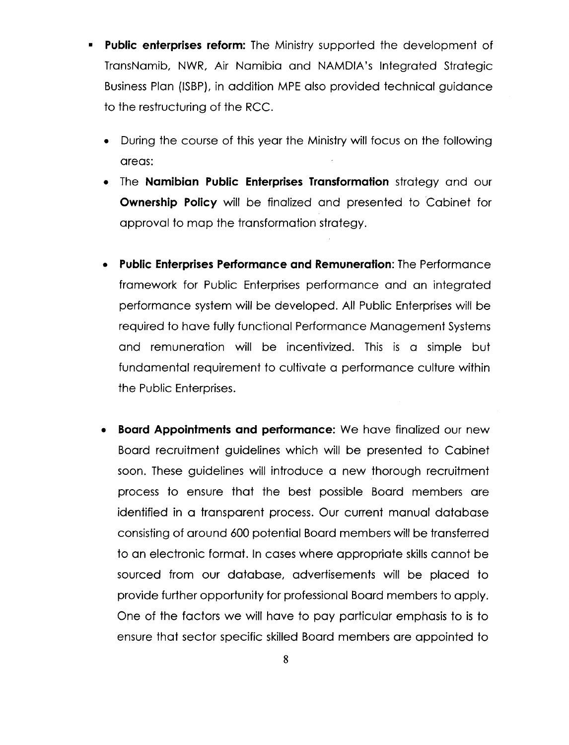- **• Public enterprises reform:** The Ministry supported the development of TransNamib, NWR, Air Namibia and NAMDIA's Integrated Strategic Business Plan (ISBP), in addition MPE also provided technical guidance to the restructuring of the RCC.
	- During the course of this year the Ministrywill focus on the following areas:
	- The **Namibian Public Enterprises Transformation** strategy and our **Ownership Policy** will be finalized and presented to Cabinet for approval to map the transformation strategy.
	- **• Public Enterprises Performance and Remuneration:** The Performance framework for Public Enterprises performance and an integrated performance system will be developed. All Public Enterpriseswill be required to have fully functional Performance Management Systems and remuneration will be incentivized. This is a simple but fundamental requirement to cultivate a performance culture within the Public Enterprises.
	- **• Board Appointments and performance:** We have finalized our new Board recruitment guidelines which will be presented to Cabinet soon. These guidelines will introduce a new thorough recruitment process to ensure that the best possible Board members are identified in a transparent process. Our current manual database consisting of around 600 potential Board members will be transferred to an electronic format. In cases where appropriate skills cannot be sourced from our database, advertisements will be placed to provide further opportunity for professional Board members to apply. One of the factors we will have to pay particular emphasis to is to ensure that sector specific skilled Board members are appointed to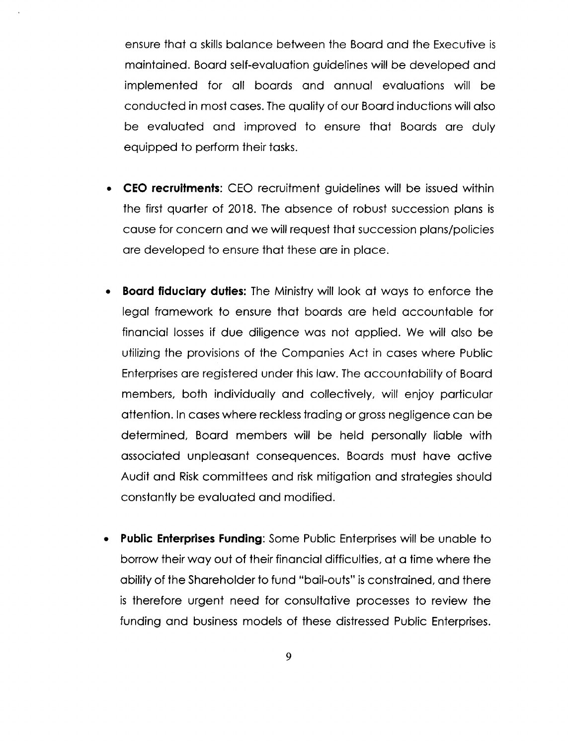ensure that a skills balance between the Board and the Executive is maintained. Board self-evaluation guidelines will be developed and implemented for all boards and annual evaluations will be conducted in most cases. The quality of our Board inductions will also be evaluated and improved to ensure that Boards are duly equipped to perform their tasks.

- **• CEO recruitments:** CEO recruitment guidelines will be issued within the first quarter of 2018. The absence of robust succession plans is cause for concern and we will request that succession plans/policies are developed to ensure that these are in place.
- **• Board fiduciary duties:** The Ministrywill look at ways to enforce the legal framework to ensure that boards are held accountable for financial losses if due diligence was not applied. We will also be utilizing the provisions of the Companies Act in cases where Public Enterprises are registered under this law. The accountability of Board members, both individually and collectively, will enjoy particular attention. In cases where recklesstrading or grossnegligence can be determined, Board members will be held personally liable with associated unpleasant consequences. Boards must have active Audit and Risk committees and risk mitigation and strategies should constantly be evaluated and modified.
- **Public Enterprises Funding:** Some Public Enterprises will be unable to borrow their way out of their financial difficulties, at a time where the ability of the Shareholder to fund "bail-outs" isconstrained, and there is therefore urgent need for consultative processes to review the funding and business models of these distressed Public Enterprises.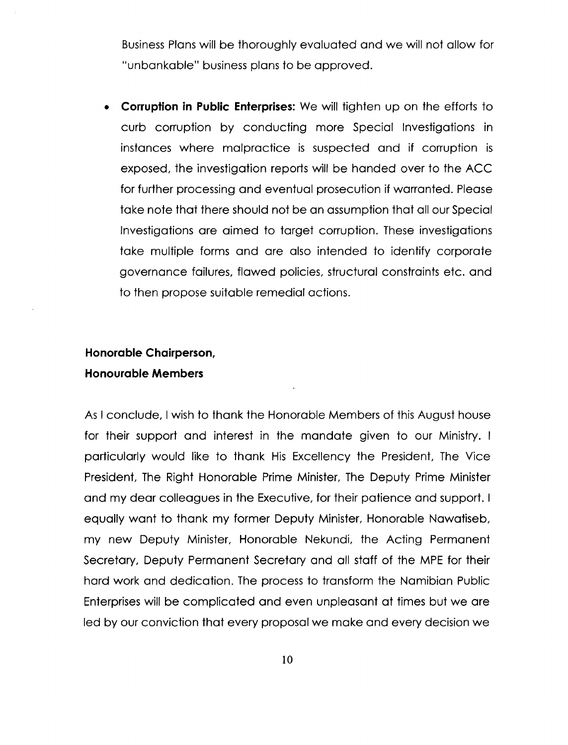Business Plans will be thoroughly evaluated and we will not allow for "unbankable" business plans to be approved.

**• Corruption in Public Enterprises:** We will tighten up on the efforts to curb corruption by conducting more Special Investigations in instances where malpractice is suspected and if corruption is exposed, the investigation reports will be handed over to the ACC for further processing and eventual prosecution if warranted. Please take note that there should not be an assumption that all our Special Investigations are aimed to target corruption. These investigations take multiple forms and are also intended to identify corporate governance failures, flawed policies, structural constraints etc. and to then propose suitable remedial actions.

# **Honorable Chairperson, Honourable Members**

As I conclude, I wish to thank the Honorable Members of this August house for their support and interest in the mandate given to our Ministry. I particularly would like to thank His Excellency the President, The Vice President, The Right Honorable Prime Minister, The Deputy Prime Minister and my dear colleagues in the Executive, for their patience and support. I equally want to thank my former Deputy Minister, Honorable Nawatiseb, my new Deputy Minister, Honorable Nekundi, the Acting Permanent Secretary, Deputy Permanent Secretary and all staff of the MPE for their hard work and dedication. The process to transform the Namibian Public Enterpriseswill be complicated and even unpleasant at times but we are led by our conviction that every proposal we make and every decision we